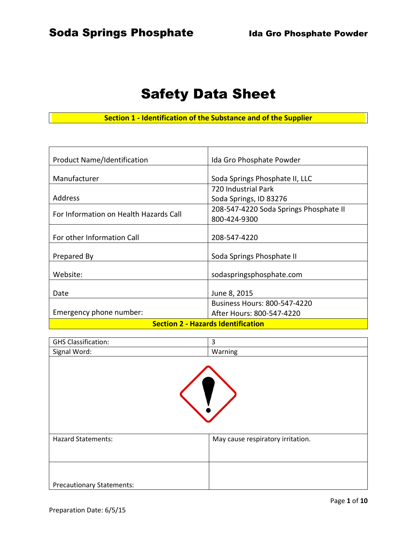# Safety Data Sheet

**Section 1 - Identification of the Substance and of the Supplier**

| <b>Product Name/Identification</b>        | Ida Gro Phosphate Powder               |  |
|-------------------------------------------|----------------------------------------|--|
| Manufacturer                              | Soda Springs Phosphate II, LLC         |  |
|                                           | 720 Industrial Park                    |  |
| Address                                   | Soda Springs, ID 83276                 |  |
|                                           | 208-547-4220 Soda Springs Phosphate II |  |
| For Information on Health Hazards Call    | 800-424-9300                           |  |
|                                           |                                        |  |
| For other Information Call                | 208-547-4220                           |  |
|                                           |                                        |  |
| Prepared By                               | Soda Springs Phosphate II              |  |
| Website:                                  | sodaspringsphosphate.com               |  |
|                                           |                                        |  |
| Date                                      | June 8, 2015                           |  |
|                                           | <b>Business Hours: 800-547-4220</b>    |  |
| Emergency phone number:                   | After Hours: 800-547-4220              |  |
| <b>Section 2 - Hazards Identification</b> |                                        |  |

| <b>GHS Classification:</b>       | 3                                 |  |
|----------------------------------|-----------------------------------|--|
| Signal Word:                     | Warning                           |  |
|                                  |                                   |  |
| <b>Hazard Statements:</b>        | May cause respiratory irritation. |  |
|                                  |                                   |  |
| <b>Precautionary Statements:</b> |                                   |  |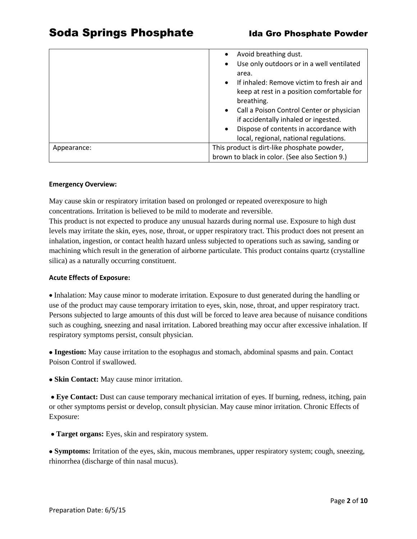|             | Avoid breathing dust.                                   |  |
|-------------|---------------------------------------------------------|--|
|             | Use only outdoors or in a well ventilated               |  |
|             | area.                                                   |  |
|             | If inhaled: Remove victim to fresh air and<br>$\bullet$ |  |
|             | keep at rest in a position comfortable for              |  |
|             | breathing.                                              |  |
|             | Call a Poison Control Center or physician<br>$\bullet$  |  |
|             | if accidentally inhaled or ingested.                    |  |
|             | Dispose of contents in accordance with                  |  |
|             | local, regional, national regulations.                  |  |
| Appearance: | This product is dirt-like phosphate powder,             |  |
|             | brown to black in color. (See also Section 9.)          |  |

#### **Emergency Overview:**

May cause skin or respiratory irritation based on prolonged or repeated overexposure to high concentrations. Irritation is believed to be mild to moderate and reversible.

This product is not expected to produce any unusual hazards during normal use. Exposure to high dust levels may irritate the skin, eyes, nose, throat, or upper respiratory tract. This product does not present an inhalation, ingestion, or contact health hazard unless subjected to operations such as sawing, sanding or machining which result in the generation of airborne particulate. This product contains quartz (crystalline silica) as a naturally occurring constituent.

#### **Acute Effects of Exposure:**

• Inhalation: May cause minor to moderate irritation. Exposure to dust generated during the handling or use of the product may cause temporary irritation to eyes, skin, nose, throat, and upper respiratory tract. Persons subjected to large amounts of this dust will be forced to leave area because of nuisance conditions such as coughing, sneezing and nasal irritation. Labored breathing may occur after excessive inhalation. If respiratory symptoms persist, consult physician.

 **Ingestion:** May cause irritation to the esophagus and stomach, abdominal spasms and pain. Contact Poison Control if swallowed.

**Skin Contact:** May cause minor irritation.

 **Eye Contact:** Dust can cause temporary mechanical irritation of eyes. If burning, redness, itching, pain or other symptoms persist or develop, consult physician. May cause minor irritation. Chronic Effects of Exposure:

**Target organs:** Eyes, skin and respiratory system.

 **Symptoms:** Irritation of the eyes, skin, mucous membranes, upper respiratory system; cough, sneezing, rhinorrhea (discharge of thin nasal mucus).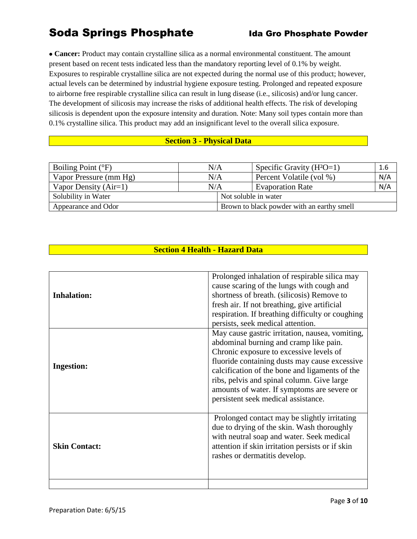## Soda Springs Phosphate Ida Gro Phosphate Powder

 **Cancer:** Product may contain crystalline silica as a normal environmental constituent. The amount present based on recent tests indicated less than the mandatory reporting level of 0.1% by weight. Exposures to respirable crystalline silica are not expected during the normal use of this product; however, actual levels can be determined by industrial hygiene exposure testing. Prolonged and repeated exposure to airborne free respirable crystalline silica can result in lung disease (i.e., silicosis) and/or lung cancer. The development of silicosis may increase the risks of additional health effects. The risk of developing silicosis is dependent upon the exposure intensity and duration. Note: Many soil types contain more than 0.1% crystalline silica. This product may add an insignificant level to the overall silica exposure.

### **Section 3 - Physical Data**

| Boiling Point $(^{\circ}F)$ | N/A |                                            | Specific Gravity $(H^2O=1)$ | 1.6 |
|-----------------------------|-----|--------------------------------------------|-----------------------------|-----|
| Vapor Pressure (mm Hg)      | N/A |                                            | Percent Volatile (vol %)    | N/A |
| Vapor Density $(Air=1)$     | N/A |                                            | <b>Evaporation Rate</b>     | N/A |
| Solubility in Water         |     | Not soluble in water                       |                             |     |
| Appearance and Odor         |     | Brown to black powder with an earthy smell |                             |     |

## **Section 4 Health - Hazard Data**

| <b>Inhalation:</b>   | Prolonged inhalation of respirable silica may<br>cause scaring of the lungs with cough and<br>shortness of breath. (silicosis) Remove to<br>fresh air. If not breathing, give artificial<br>respiration. If breathing difficulty or coughing<br>persists, seek medical attention.                                                                                           |
|----------------------|-----------------------------------------------------------------------------------------------------------------------------------------------------------------------------------------------------------------------------------------------------------------------------------------------------------------------------------------------------------------------------|
| <b>Ingestion:</b>    | May cause gastric irritation, nausea, vomiting,<br>abdominal burning and cramp like pain.<br>Chronic exposure to excessive levels of<br>fluoride containing dusts may cause excessive<br>calcification of the bone and ligaments of the<br>ribs, pelvis and spinal column. Give large<br>amounts of water. If symptoms are severe or<br>persistent seek medical assistance. |
| <b>Skin Contact:</b> | Prolonged contact may be slightly irritating<br>due to drying of the skin. Wash thoroughly<br>with neutral soap and water. Seek medical<br>attention if skin irritation persists or if skin<br>rashes or dermatitis develop.                                                                                                                                                |
|                      |                                                                                                                                                                                                                                                                                                                                                                             |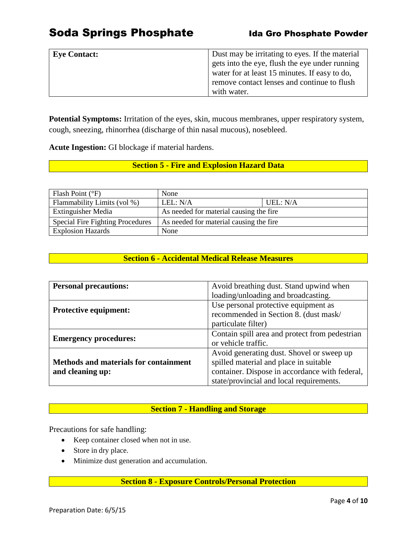## Soda Springs Phosphate **Inter and Some Powder** Ida Gro Phosphate Powder

| <b>Eye Contact:</b> | Dust may be irritating to eyes. If the material |
|---------------------|-------------------------------------------------|
|                     | gets into the eye, flush the eye under running  |
|                     | water for at least 15 minutes. If easy to do,   |
|                     | remove contact lenses and continue to flush     |
|                     | with water.                                     |

**Potential Symptoms:** Irritation of the eyes, skin, mucous membranes, upper respiratory system, cough, sneezing, rhinorrhea (discharge of thin nasal mucous), nosebleed.

**Acute Ingestion:** GI blockage if material hardens.

## **Section 5 - Fire and Explosion Hazard Data**

| Flash Point $(^{\circ}F)$               | None                                    |          |
|-----------------------------------------|-----------------------------------------|----------|
| Flammability Limits (vol %)             | LEL: N/A                                | UEL: N/A |
| <b>Extinguisher Media</b>               | As needed for material causing the fire |          |
| <b>Special Fire Fighting Procedures</b> | As needed for material causing the fire |          |
| <b>Explosion Hazards</b>                | None                                    |          |

## **Section 6 - Accidental Medical Release Measures**

| <b>Personal precautions:</b>                 | Avoid breathing dust. Stand upwind when        |  |
|----------------------------------------------|------------------------------------------------|--|
|                                              | loading/unloading and broadcasting.            |  |
|                                              | Use personal protective equipment as           |  |
| <b>Protective equipment:</b>                 | recommended in Section 8. (dust mask/          |  |
|                                              | particulate filter)                            |  |
| <b>Emergency procedures:</b>                 | Contain spill area and protect from pedestrian |  |
|                                              | or vehicle traffic.                            |  |
|                                              | Avoid generating dust. Shovel or sweep up      |  |
| <b>Methods and materials for containment</b> | spilled material and place in suitable         |  |
| and cleaning up:                             | container. Dispose in accordance with federal, |  |
|                                              | state/provincial and local requirements.       |  |

### **Section 7 - Handling and Storage**

Precautions for safe handling:

- Keep container closed when not in use.
- Store in dry place.
- Minimize dust generation and accumulation.

### **Section 8 - Exposure Controls/Personal Protection**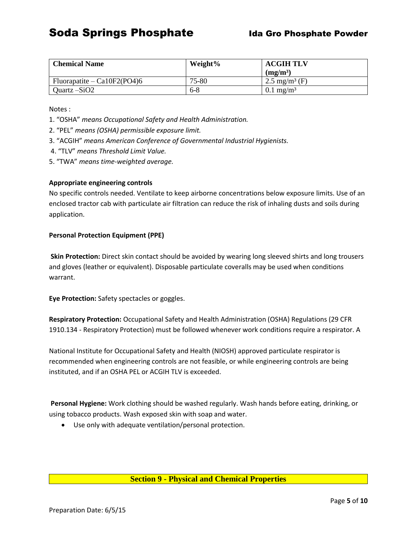| <b>Chemical Name</b>          | Weight% | <b>ACGIH TLV</b>          |  |
|-------------------------------|---------|---------------------------|--|
|                               |         | (mg/m <sup>3</sup> )      |  |
| Fluorapatite – $Ca10F2(PO4)6$ | 75-80   | 2.5 mg/m <sup>3</sup> (F) |  |
| Quartz $-SiO2$                | $6-8$   | $0.1 \text{ mg/m}^3$      |  |

Notes :

- 1. "OSHA" *means Occupational Safety and Health Administration.*
- 2. "PEL" *means (OSHA) permissible exposure limit.*
- 3. "ACGIH" *means American Conference of Governmental Industrial Hygienists.*
- 4. "TLV" *means Threshold Limit Value.*
- 5. "TWA" *means time-weighted average.*

#### **Appropriate engineering controls**

No specific controls needed. Ventilate to keep airborne concentrations below exposure limits. Use of an enclosed tractor cab with particulate air filtration can reduce the risk of inhaling dusts and soils during application.

#### **Personal Protection Equipment (PPE)**

**Skin Protection:** Direct skin contact should be avoided by wearing long sleeved shirts and long trousers and gloves (leather or equivalent). Disposable particulate coveralls may be used when conditions warrant.

**Eye Protection:** Safety spectacles or goggles.

**Respiratory Protection:** Occupational Safety and Health Administration (OSHA) Regulations (29 CFR 1910.134 - Respiratory Protection) must be followed whenever work conditions require a respirator. A

National Institute for Occupational Safety and Health (NIOSH) approved particulate respirator is recommended when engineering controls are not feasible, or while engineering controls are being instituted, and if an OSHA PEL or ACGIH TLV is exceeded.

**Personal Hygiene:** Work clothing should be washed regularly. Wash hands before eating, drinking, or using tobacco products. Wash exposed skin with soap and water.

Use only with adequate ventilation/personal protection.

#### **Section 9 - Physical and Chemical Properties**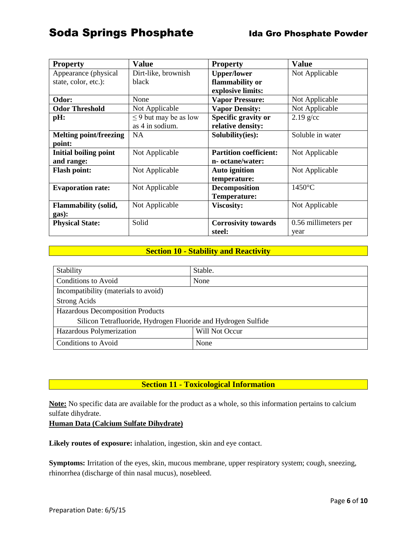## Soda Springs Phosphate Ida Gro Phosphate Powder

| <b>Property</b>               | <b>Value</b>               | <b>Property</b>               | <b>Value</b>         |
|-------------------------------|----------------------------|-------------------------------|----------------------|
| Appearance (physical)         | Dirt-like, brownish        | <b>Upper/lower</b>            | Not Applicable       |
| state, color, etc.):          | black                      | flammability or               |                      |
|                               |                            | explosive limits:             |                      |
| Odor:                         | None                       | <b>Vapor Pressure:</b>        | Not Applicable       |
| <b>Odor Threshold</b>         | Not Applicable             | <b>Vapor Density:</b>         | Not Applicable       |
| pH:                           | $\leq$ 9 but may be as low | Specific gravity or           | $2.19$ g/cc          |
|                               | as 4 in sodium.            | relative density:             |                      |
| <b>Melting point/freezing</b> | <b>NA</b>                  | Solubility(ies):              | Soluble in water     |
| point:                        |                            |                               |                      |
| <b>Initial boiling point</b>  | Not Applicable             | <b>Partition coefficient:</b> | Not Applicable       |
| and range:                    |                            | n- octane/water:              |                      |
| <b>Flash point:</b>           | Not Applicable             | <b>Auto ignition</b>          | Not Applicable       |
|                               |                            | temperature:                  |                      |
| <b>Evaporation rate:</b>      | Not Applicable             | Decomposition                 | $1450^{\circ}$ C     |
|                               |                            | <b>Temperature:</b>           |                      |
| <b>Flammability (solid,</b>   | Not Applicable             | <b>Viscosity:</b>             | Not Applicable       |
| gas):                         |                            |                               |                      |
| <b>Physical State:</b>        | Solid                      | <b>Corrosivity towards</b>    | 0.56 millimeters per |
|                               |                            | steel:                        | year                 |

## **Section 10 - Stability and Reactivity**

| Stability                                                     | Stable.        |  |
|---------------------------------------------------------------|----------------|--|
| Conditions to Avoid                                           | None           |  |
| Incompatibility (materials to avoid)                          |                |  |
| <b>Strong Acids</b>                                           |                |  |
| Hazardous Decomposition Products                              |                |  |
| Silicon Tetrafluoride, Hydrogen Fluoride and Hydrogen Sulfide |                |  |
| Hazardous Polymerization                                      | Will Not Occur |  |
| Conditions to Avoid                                           | None           |  |

### **Section 11 - Toxicological Information**

**Note:** No specific data are available for the product as a whole, so this information pertains to calcium sulfate dihydrate.

### **Human Data (Calcium Sulfate Dihydrate)**

**Likely routes of exposure:** inhalation, ingestion, skin and eye contact.

**Symptoms:** Irritation of the eyes, skin, mucous membrane, upper respiratory system; cough, sneezing, rhinorrhea (discharge of thin nasal mucus), nosebleed.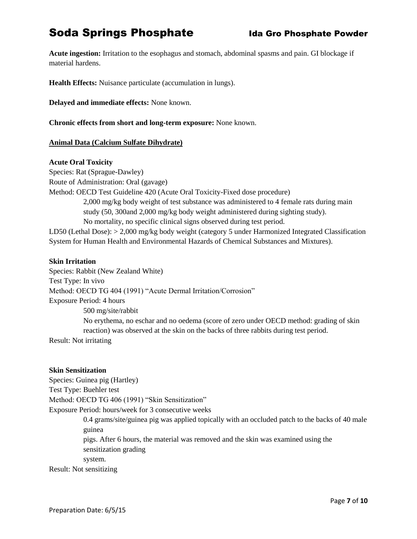## Soda Springs Phosphate **Inter and Somman Soda Springs Phosphate** Powder

**Acute ingestion:** Irritation to the esophagus and stomach, abdominal spasms and pain. GI blockage if material hardens.

**Health Effects:** Nuisance particulate (accumulation in lungs).

**Delayed and immediate effects:** None known.

**Chronic effects from short and long-term exposure:** None known.

#### **Animal Data (Calcium Sulfate Dihydrate)**

#### **Acute Oral Toxicity**

Species: Rat (Sprague-Dawley) Route of Administration: Oral (gavage) Method: OECD Test Guideline 420 (Acute Oral Toxicity-Fixed dose procedure) 2,000 mg/kg body weight of test substance was administered to 4 female rats during main study (50, 300and 2,000 mg/kg body weight administered during sighting study). No mortality, no specific clinical signs observed during test period. LD50 (Lethal Dose): > 2,000 mg/kg body weight (category 5 under Harmonized Integrated Classification

System for Human Health and Environmental Hazards of Chemical Substances and Mixtures).

#### **Skin Irritation**

Species: Rabbit (New Zealand White) Test Type: In vivo Method: OECD TG 404 (1991) "Acute Dermal Irritation/Corrosion" Exposure Period: 4 hours 500 mg/site/rabbit No erythema, no eschar and no oedema (score of zero under OECD method: grading of skin reaction) was observed at the skin on the backs of three rabbits during test period. Result: Not irritating

#### **Skin Sensitization**

Species: Guinea pig (Hartley) Test Type: Buehler test Method: OECD TG 406 (1991) "Skin Sensitization" Exposure Period: hours/week for 3 consecutive weeks 0.4 grams/site/guinea pig was applied topically with an occluded patch to the backs of 40 male guinea pigs. After 6 hours, the material was removed and the skin was examined using the sensitization grading system.

Result: Not sensitizing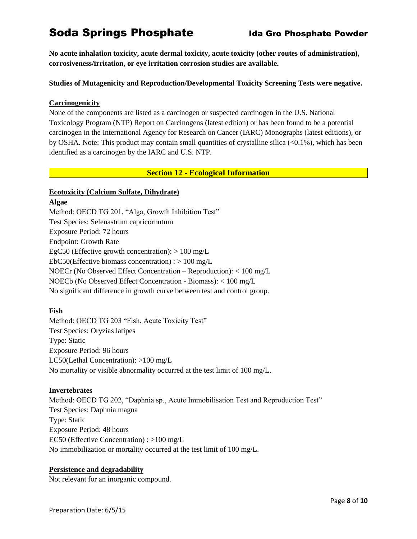## Soda Springs Phosphate **Inter and Somman Soda Springs Phosphate** Powder

**No acute inhalation toxicity, acute dermal toxicity, acute toxicity (other routes of administration), corrosiveness/irritation, or eye irritation corrosion studies are available.**

#### **Studies of Mutagenicity and Reproduction/Developmental Toxicity Screening Tests were negative.**

#### **Carcinogenicity**

None of the components are listed as a carcinogen or suspected carcinogen in the U.S. National Toxicology Program (NTP) Report on Carcinogens (latest edition) or has been found to be a potential carcinogen in the International Agency for Research on Cancer (IARC) Monographs (latest editions), or by OSHA. Note: This product may contain small quantities of crystalline silica (<0.1%), which has been identified as a carcinogen by the IARC and U.S. NTP.

#### **Section 12 - Ecological Information**

#### **Ecotoxicity (Calcium Sulfate, Dihydrate)**

#### **Algae**

Method: OECD TG 201, "Alga, Growth Inhibition Test" Test Species: Selenastrum capricornutum Exposure Period: 72 hours Endpoint: Growth Rate EgC50 (Effective growth concentration):  $> 100$  mg/L EbC50(Effective biomass concentration) :  $> 100$  mg/L NOECr (No Observed Effect Concentration – Reproduction): < 100 mg/L NOECb (No Observed Effect Concentration - Biomass): < 100 mg/L No significant difference in growth curve between test and control group.

#### **Fish**

Method: OECD TG 203 "Fish, Acute Toxicity Test" Test Species: Oryzias latipes Type: Static Exposure Period: 96 hours LC50(Lethal Concentration): >100 mg/L No mortality or visible abnormality occurred at the test limit of 100 mg/L.

#### **Invertebrates**

Method: OECD TG 202, "Daphnia sp., Acute Immobilisation Test and Reproduction Test" Test Species: Daphnia magna Type: Static Exposure Period: 48 hours EC50 (Effective Concentration) : >100 mg/L No immobilization or mortality occurred at the test limit of 100 mg/L.

### **Persistence and degradability**

Not relevant for an inorganic compound.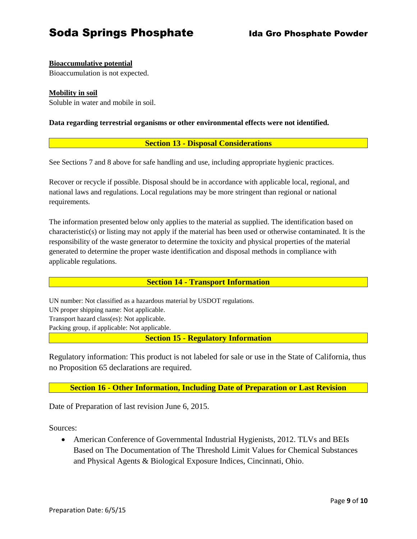## Soda Springs Phosphate **Inter and Somman Soda Springs Phosphate**

### **Bioaccumulative potential**

Bioaccumulation is not expected.

#### **Mobility in soil**

Soluble in water and mobile in soil.

**Data regarding terrestrial organisms or other environmental effects were not identified.**

#### **Section 13 - Disposal Considerations**

See Sections 7 and 8 above for safe handling and use, including appropriate hygienic practices.

Recover or recycle if possible. Disposal should be in accordance with applicable local, regional, and national laws and regulations. Local regulations may be more stringent than regional or national requirements.

The information presented below only applies to the material as supplied. The identification based on characteristic(s) or listing may not apply if the material has been used or otherwise contaminated. It is the responsibility of the waste generator to determine the toxicity and physical properties of the material generated to determine the proper waste identification and disposal methods in compliance with applicable regulations.

#### **Section 14 - Transport Information**

UN number: Not classified as a hazardous material by USDOT regulations. UN proper shipping name: Not applicable. Transport hazard class(es): Not applicable. Packing group, if applicable: Not applicable.

**Section 15 - Regulatory Information**

Regulatory information: This product is not labeled for sale or use in the State of California, thus no Proposition 65 declarations are required.

**Section 16 - Other Information, Including Date of Preparation or Last Revision**

Date of Preparation of last revision June 6, 2015.

Sources:

 American Conference of Governmental Industrial Hygienists, 2012. TLVs and BEIs Based on The Documentation of The Threshold Limit Values for Chemical Substances and Physical Agents & Biological Exposure Indices, Cincinnati, Ohio.